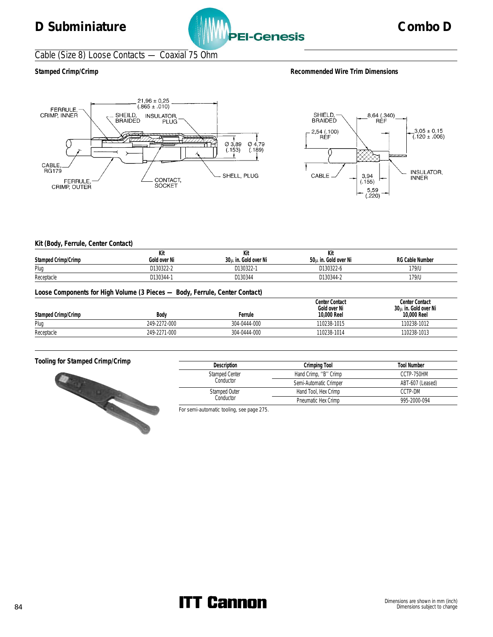

## Cable (Size 8) Loose Contacts — Coaxial 75 Ohm

### Stamped Crimp/Crimp **Recommended Wire Trim Dimensions Recommended Wire Trim Dimensions**





### **Kit (Body, Ferrule, Center Contact)**

|                                                                             | Kit          | Kit                  | Kit                                           |                                                       |  |  |  |
|-----------------------------------------------------------------------------|--------------|----------------------|-----------------------------------------------|-------------------------------------------------------|--|--|--|
| Stamped Crimp/Crimp                                                         | Gold over Ni | 30µ in. Gold over Ni | 50µ in. Gold over Ni                          | <b>RG Cable Number</b>                                |  |  |  |
| Plug                                                                        | D130322-2    | D130322-1            | D130322-6                                     | 179/U                                                 |  |  |  |
| Receptacle                                                                  | D130344-1    | D130344              | D130344-2                                     | 179/U                                                 |  |  |  |
| Loose Components for High Volume (3 Pieces - Body, Ferrule, Center Contact) |              |                      |                                               |                                                       |  |  |  |
| Stamped Crimp/Crimp                                                         | Body         | Ferrule              | Center Contact<br>Gold over Ni<br>10,000 Reel | Center Contact<br>30µ in. Gold over Ni<br>10,000 Reel |  |  |  |
| Plug                                                                        | 249-2272-000 | 304-0444-000         | 110238-1015                                   | 110238-1012                                           |  |  |  |
| Receptacle                                                                  | 249-2271-000 | 304-0444-000         | 110238-1014                                   | 110238-1013                                           |  |  |  |



| <b>Description</b>         | Crimping Tool          | <b>Tool Number</b> |
|----------------------------|------------------------|--------------------|
| <b>Stamped Center</b>      | Hand Crimp, "B" Crimp  | CCTP-750HM         |
| Conductor                  | Semi-Automatic Crimper | ABT-607 (Leased)   |
| Stamped Outer<br>Conductor | Hand Tool, Hex Crimp   | CCTP-DM            |
|                            | Pneumatic Hex Crimp    | 995-2000-094       |

### For semi-automatic tooling, see page 275.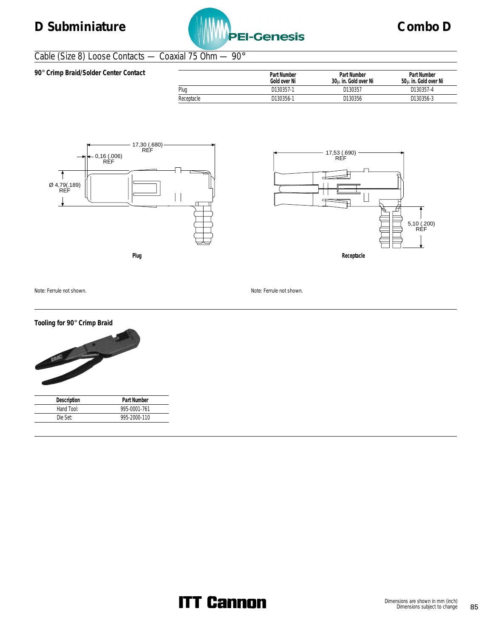

## Cable (Size 8) Loose Contacts — Coaxial 75 Ohm — 90°

| 90° Crimp Braid/Solder Center Contact |            | Part Number<br>Gold over Ni | Part Number<br>30u in. Gold over Ni | Part Number<br>50u in. Gold over Ni |
|---------------------------------------|------------|-----------------------------|-------------------------------------|-------------------------------------|
|                                       | Plug       | D130357-1                   | D130357                             | D130357-4                           |
|                                       | Receptacle | D130356-1                   | D130356                             | D130356-3                           |





Note: Ferrule not shown. Note: Ferrule not shown.



| Description | Part Number  |
|-------------|--------------|
| Hand Tool:  | 995-0001-761 |
| Die Set:    | 995-2000-110 |
|             |              |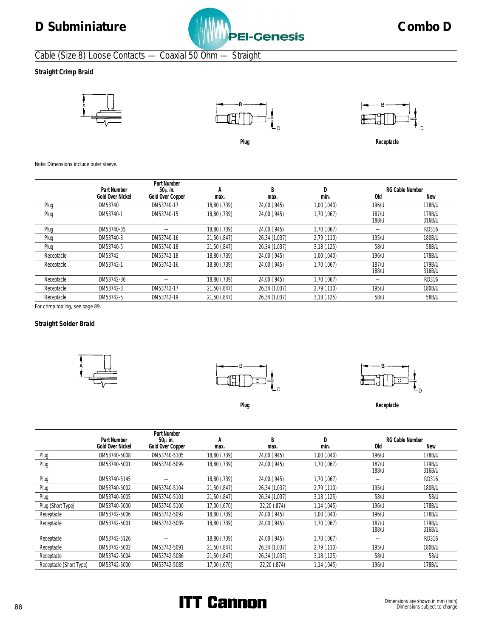

# Cable (Size 8) Loose Contacts — Coaxial 50 Ohm — Straight

**Straight Crimp Braid**









**Plug Receptacle**

Note: Dimensions include outer sleeve.

|            | Part Number             | Part Number<br>$50\mu$ in. | A            | B             |               |                | <b>RG Cable Number</b> |
|------------|-------------------------|----------------------------|--------------|---------------|---------------|----------------|------------------------|
|            | <b>Gold Over Nickel</b> | Gold Over Copper           | max.         | max.          | min.          | 0ld            | New                    |
| Plug       | DM53740                 | DM53740-17                 | 18,80 (.739) | 24,00 (.945)  | 1,00(.040)    | 196/U          | 178B/U                 |
| Plug       | DM53740-1               | DM53740-15                 | 18,80 (.739) | 24,00 (.945)  | 1,70 (.067)   | 187/U<br>188/U | 179B/U<br>316B/U       |
| Plug       | DM53740-35              |                            | 18,80 (.739) | 24,00 (.945)  | 1,70 (.067)   |                | RD316                  |
| Plug       | DM53740-3               | DM53740-16                 | 21,50 (.847) | 26,34 (1.037) | 2,79 (.110)   | 195/U          | 180B/U                 |
| Plug       | DM53740-5               | DM53740-18                 | 21,50 (.847) | 26,34 (1.037) | 3,18(.125)    | 58/U           | 58B/U                  |
| Receptacle | DM53742                 | DM53742-18                 | 18,80 (.739) | 24,00 (.945)  | 1,00(.040)    | 196/U          | 178B/U                 |
| Receptacle | DM53742-1               | DM53742-16                 | 18,80 (.739) | 24,00 (.945)  | 1,70 (.067)   | 187/U<br>188/U | 179B/U<br>316B/U       |
| Receptacle | DM53742-36              |                            | 18,80 (.739) | 24,00 (.945)  | 1,70 (.067)   |                | RD316                  |
| Receptacle | DM53742-3               | DM53742-17                 | 21,50 (.847) | 26,34 (1.037) | $2,79$ (.110) | 195/U          | 180B/U                 |
| Receptacle | DM53742-5               | DM53742-19                 | 21,50 (.847) | 26,34 (1.037) | 3,18(.125)    | 58/U           | 58B/U                  |

For crimp tooling, see page 89.

### **Straight Solder Braid**







Plug **Receptacle** 

|                         | Part Number      | Part Number<br>$50\mu$ in. | А            | B             |             |                | <b>RG Cable Number</b> |
|-------------------------|------------------|----------------------------|--------------|---------------|-------------|----------------|------------------------|
|                         | Gold Over Nickel | Gold Over Copper           | max.         | max.          | min.        | 0ld            | New                    |
| Plug                    | DM53740-5008     | DM53740-5105               | 18,80 (.739) | 24,00 (.945)  | 1,00 (.040) | 196/U          | 178B/U                 |
| Plug                    | DM53740-5001     | DM53740-5099               | 18,80 (.739) | 24,00 (.945)  | 1,70 (.067) | 187/U<br>188/U | 179B/U<br>316B/U       |
| Plug                    | DM53740-5145     |                            | 18,80 (.739) | 24,00 (.945)  | 1,70 (.067) |                | RD316                  |
| Plug                    | DM53740-5002     | DM53740-5104               | 21,50 (.847) | 26,34 (1.037) | 2,79 (.110) | 195/U          | 180B/U                 |
| Plug                    | DM53740-5005     | DM53740-5101               | 21,50 (.847) | 26,34 (1.037) | 3,18(.125)  | 58/U           | 58/U                   |
| Plug (Short Type)       | DM53740-5000     | DM53740-5100               | 17,00 (.670) | 22,20 (.874)  | 1,14 (.045) | 196/U          | 178B/U                 |
| Receptacle              | DM53742-5006     | DM53742-5092               | 18,80 (.739) | 24,00 (.945)  | 1,00(.040)  | 196/U          | 178B/U                 |
| Receptacle              | DM53742-5001     | DM53742-5089               | 18,80 (.739) | 24,00 (.945)  | 1,70(.067)  | 187/U<br>188/U | 179B/U<br>316B/U       |
| Receptacle              | DM53742-5126     |                            | 18,80 (.739) | 24,00 (.945)  | 1,70 (.067) |                | RD316                  |
| Receptacle              | DM53742-5002     | DM53742-5091               | 21,50 (.847) | 26,34 (1.037) | 2,79 (.110) | 195/U          | 180B/U                 |
| Receptacle              | DM53742-5004     | DM53742-5086               | 21,50 (.847) | 26,34 (1.037) | 3,18(.125)  | 58/U           | 58/U                   |
| Receptacle (Short Type) | DM53742-5000     | DM53742-5085               | 17,00 (.670) | 22,20 (.874)  | 1,14(.045)  | 196/U          | 178B/U                 |

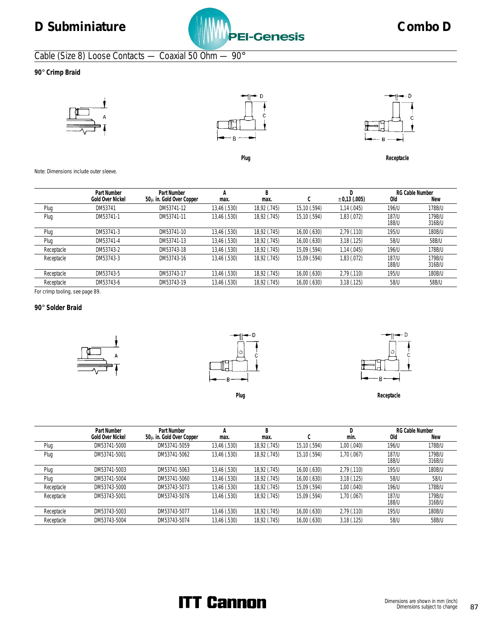

# Cable (Size 8) Loose Contacts — Coaxial 50 Ohm — 90°

**90**° **Crimp Braid**







Plug **Receptacle** 

Note: Dimensions include outer sleeve.

|            | Part Number      | Part Number                  | А            | D            |              |                   |                | <b>RG Cable Number</b> |
|------------|------------------|------------------------------|--------------|--------------|--------------|-------------------|----------------|------------------------|
|            | Gold Over Nickel | $50\mu$ in. Gold Over Copper | max.         | max.         | ⌒<br>◡       | $\pm 0.13$ (.005) | 0ld            | <b>New</b>             |
| Plug       | DM53741          | DM53741-12                   | 13,46 (.530) | 18,92 (.745) | 15,10 (.594) | 1,14(.045)        | 196/U          | 178B/U                 |
| Plug       | DM53741-1        | DM53741-11                   | 13,46 (.530) | 18,92 (.745) | 15,10 (.594) | 1,83 (.072)       | 187/U<br>188/U | 179B/U<br>316B/U       |
| Plug       | DM53741-3        | DM53741-10                   | 13,46 (.530) | 18,92 (.745) | 16,00(.630)  | 2.79(0.110)       | 195/U          | 180B/U                 |
| Plug       | DM53741-4        | DM53741-13                   | 13,46 (.530) | 18,92 (.745) | 16,00 (.630) | 3,18(.125)        | 58/U           | 58B/U                  |
| Receptacle | DM53743-2        | DM53743-18                   | 13,46 (.530) | 18,92 (.745) | 15,09 (.594) | 1,14(.045)        | 196/U          | 178B/U                 |
| Receptacle | DM53743-3        | DM53743-16                   | 13,46 (.530) | 18,92 (.745) | 15,09 (.594) | 1,83 (.072)       | 187/U<br>188/U | 179B/U<br>316B/U       |
| Receptacle | DM53743-5        | DM53743-17                   | 13,46 (.530) | 18,92 (.745) | 16,00 (.630) | 2.79(0.110)       | 195/U          | 180B/U                 |
| Receptacle | DM53743-6        | DM53743-19                   | 13,46 (.530) | 18,92 (.745) | 16,00 (.630) | 3,18(.125)        | 58/U           | 58B/U                  |
|            |                  |                              |              |              |              |                   |                |                        |

For crimp tooling, see page 89.

### **90**° **Solder Braid**







Plug Receptacle

|            | Part Number      | Part Number              |              | B            |              |                 |                | <b>RG Cable Number</b> |
|------------|------------------|--------------------------|--------------|--------------|--------------|-----------------|----------------|------------------------|
|            | Gold Over Nickel | 50μ in. Gold Over Copper | max.         | max.         | ⌒<br>U       | min.            | 0ld            | New                    |
| Plug       | DM53741-5000     | DM53741-5059             | 13,46 (.530) | 18,92 (.745) | 15,10 (.594) | 1,00 (.040)     | 196/U          | 178B/U                 |
| Plug       | DM53741-5001     | DM53741-5062             | 13,46 (.530) | 18,92 (.745) | 15,10 (.594) | 1,70 (.067)     | 187/U<br>188/U | 179B/U<br>316B/U       |
| Plug       | DM53741-5003     | DM53741-5063             | 13,46 (.530) | 18,92 (.745) | 16,00(.630)  | $2,79$ (.110)   | 195/U          | 180B/U                 |
| Plug       | DM53741-5004     | DM53741-5060             | 13,46 (.530) | 18,92 (.745) | 16,00 (.630) | 3,18(.125)      | 58/U           | 58/U                   |
| Receptacle | DM53743-5000     | DM53743-5073             | 13,46 (.530) | 18,92 (.745) | 15,09 (.594) | $1,00$ $(.040)$ | 196/U          | 178B/U                 |
| Receptacle | DM53743-5001     | DM53743-5076             | 13,46 (.530) | 18,92 (.745) | 15,09 (.594) | 1,70 (.067)     | 187/U<br>188/U | 179B/U<br>316B/U       |
| Receptacle | DM53743-5003     | DM53743-5077             | 13,46 (.530) | 18,92 (.745) | 16,00(.630)  | 2.79(0.110)     | 195/U          | 180B/U                 |
| Receptacle | DM53743-5004     | DM53743-5074             | 13,46 (.530) | 18,92 (.745) | 16,00(.630)  | 3,18(.125)      | 58/U           | 58B/U                  |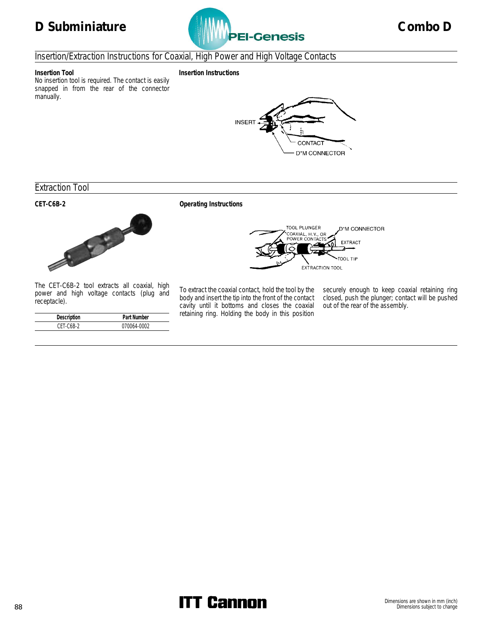

## Insertion/Extraction Instructions for Coaxial, High Power and High Voltage Contacts



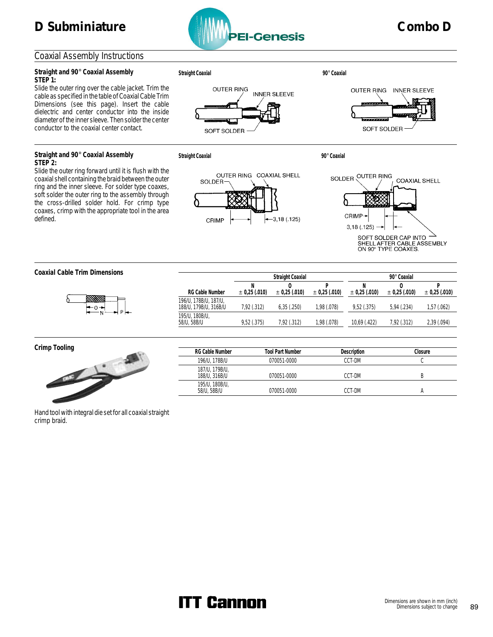## Coaxial Assembly Instructions

### **Straight and 90**° **Coaxial Assembly STEP 1:**

Slide the outer ring over the cable jacket. Trim the cable as specified in the table of Coaxial Cable Trim Dimensions (see this page). Insert the cable dielectric and center conductor into the inside diameter of the inner sleeve. Then solder the center conductor to the coaxial center contact.

### **Straight and 90**° **Coaxial Assembly STEP 2:**

Slide the outer ring forward until it is flush with the coaxial shell containing the braid between the outer ring and the inner sleeve. For solder type coaxes, soft solder the outer ring to the assembly through the cross-drilled solder hold. For crimp type coaxes, crimp with the appropriate tool in the area defined.



**Straight Coaxial 90**° **Coaxial**





SOFT SOLDER

**Straight Coaxial 90**° **Coaxial**

**RG Cable Number**

196/U, 178B/U, 187/U,

195/U, 180B/U,



**N** ± **0,25 (.010)**

**O** ± **0,25 (.010)**



**O** ± **0,25 (.010)**

**P** ± **0,25 (.010)**

**Coaxial Cable Trim Dimensions**



**Crimp Tooling**



| RG Cable Number                 | <b>Tool Part Number</b> | Description | Closure |
|---------------------------------|-------------------------|-------------|---------|
| 196/U, 178B/U                   | 070051-0000             | CCT-DM      |         |
| 187/U, 179B/U,<br>188/U, 316B/U | 070051-0000             | CCT-DM      |         |
| 195/U, 180B/U,<br>58/U, 58B/U   | 070051-0000             | CCT-DM      |         |

188/U, 179B/U, 316B/U 7,92 (.312) 6,35 (.250) 1,98 (.078) 9,52 (.375) 5,94 (.234) 1,57 (.062)

58/U, 58B/U 9,52 (.375) 7,92 (.312) 1,98 (.078) 10,69 (.422) 7,92 (.312) 2,39 (.094)

**Straight Coaxial 90**° **Coaxial**

**N** ± **0,25 (.010)**

**P** ± **0,25 (.010)**

Hand tool with integral die set for all coaxial straight crimp braid.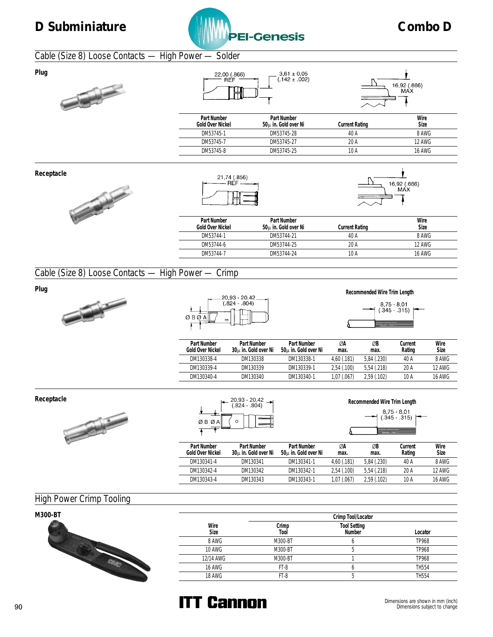

## Cable (Size 8) Loose Contacts — High Power — Solder





| 22,00 (.866)<br><b>REF</b>      | $3,61 \pm 0,05$<br>$(.142 \pm .002)$ |                       | 16,92 (.666)<br>MAX |
|---------------------------------|--------------------------------------|-----------------------|---------------------|
| Part Number<br>Gold Over Nickel | Part Number<br>50μ in. Gold over Ni  | <b>Current Rating</b> | Wire<br>Size        |
|                                 |                                      |                       |                     |
| DM53745-1                       | DM53745-28                           | 40 A                  |                     |
| DM53745-7                       | DM53745-27                           | 20 A                  | 8 AWG<br>12 AWG     |

**Receptacle**







| Part Number<br>Gold Over Nickel | Part Number<br>50u in. Gold over Ni | Current Rating | Wire<br>Size  |
|---------------------------------|-------------------------------------|----------------|---------------|
| DM53744-1                       | DM53744-21                          | 40 A           | 8 AWG         |
| DM53744-6                       | DM53744-25                          | 20 A           | 12 AWG        |
| DM53744-7                       | DM53744-24                          | 10 A           | <b>16 AWG</b> |
|                                 |                                     |                |               |

## Cable (Size 8) Loose Contacts — High Power — Crimp





| 8,75 - 8,01<br>(345 - 315) |  |
|----------------------------|--|
|                            |  |

| Part Number<br>Gold Over Nickel | Part Number<br>30u in. Gold over Ni | Part Number<br>50u in. Gold over Ni | ØA<br>max.  | ØB<br>max.  | Current<br>Rating | Wire<br>Size  |
|---------------------------------|-------------------------------------|-------------------------------------|-------------|-------------|-------------------|---------------|
| DM130338-4                      | DM130338                            | DM130338-1                          | 4.60(0.181) | 5.84 (.230) | 40 A              | 8 AWG         |
| DM130339-4                      | DM130339                            | DM130339-1                          | 2.54(.100)  | 5.54(.218)  | 20 A              | <b>12 AWG</b> |
| DM130340-4                      | DM130340                            | DM130340-1                          | 1.07(0.067) | 2.59(0.102) | 10 A              | <b>16 AWG</b> |
|                                 |                                     |                                     |             |             |                   |               |

**Receptacle**



|      |   | 20,93 - 20,42<br>(.824 - .804) |
|------|---|--------------------------------|
| ØBØA | ∩ |                                |

| Recommended Wire Trim Length |                           |  |
|------------------------------|---------------------------|--|
|                              | 8,75 - 8,01<br>345 - 315) |  |
|                              |                           |  |

| Part Number<br>Gold Over Nickel | Part Number<br>30u in. Gold over Ni | Part Number<br>50 <sub>u</sub> in. Gold over Ni | ØA<br>max.  | ØB<br>max.  | Current<br>Rating | Wire<br>Size |
|---------------------------------|-------------------------------------|-------------------------------------------------|-------------|-------------|-------------------|--------------|
| DM130341-4                      | DM130341                            | DM130341-1                                      | 4.60(.181)  | 5.84(.230)  | 40 A              | 8 AWG        |
| DM130342-4                      | DM130342                            | DM130342-1                                      | 2.54(.100)  | 5.54(.218)  | 20 A              | 12 AWG       |
| DM130343-4                      | DM130343                            | DM130343-1                                      | 1.07 (.067) | 2.59(0.102) | 10 A              | 16 AWG       |

# High Power Crimp Tooling

| M300-BT |               |               | Crimp Tool/Locator     |              |
|---------|---------------|---------------|------------------------|--------------|
|         | Wire<br>Size  | Crimp<br>Tool | Tool Setting<br>Number | Locator      |
|         | 8 AWG         | M300-BT       |                        | TP968        |
|         | 10 AWG        | M300-BT       |                        | TP968        |
|         | 12/14 AWG     | M300-BT       |                        | TP968        |
|         | <b>16 AWG</b> | FT-8          |                        | <b>TH554</b> |
|         | 18 AWG        | FT-8          |                        | TH554        |

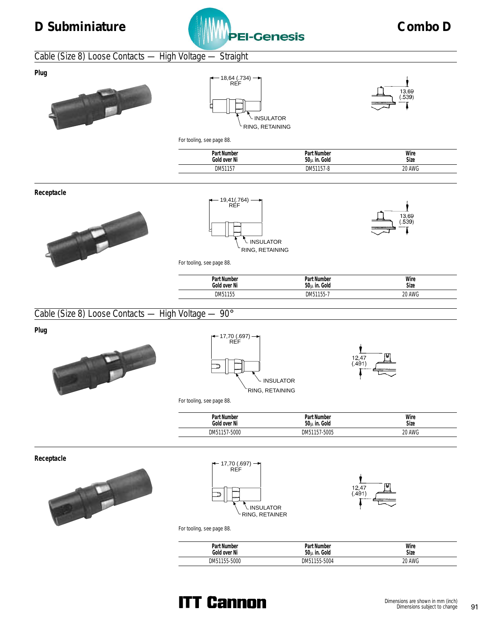



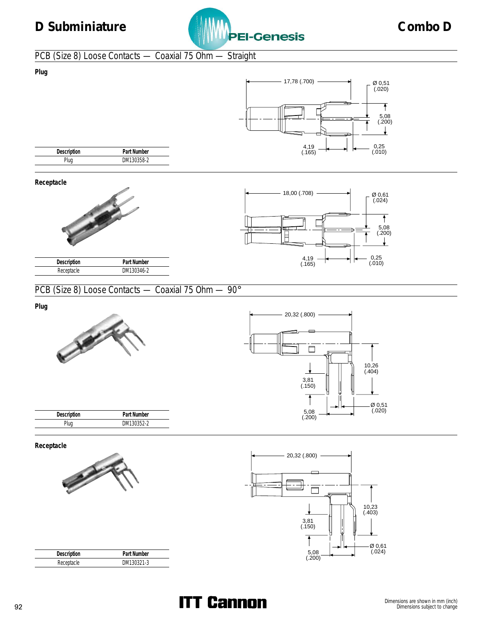

# PCB (Size 8) Loose Contacts — Coaxial 75 Ohm — Straight





**Receptacle**





## PCB (Size 8) Loose Contacts — Coaxial 75 Ohm — 90°

**Plug**





**Receptacle**



**Description** Part Number Plug DM130352-2



| Description | Part Number |  |
|-------------|-------------|--|
| Receptacle  | DM130321-3  |  |

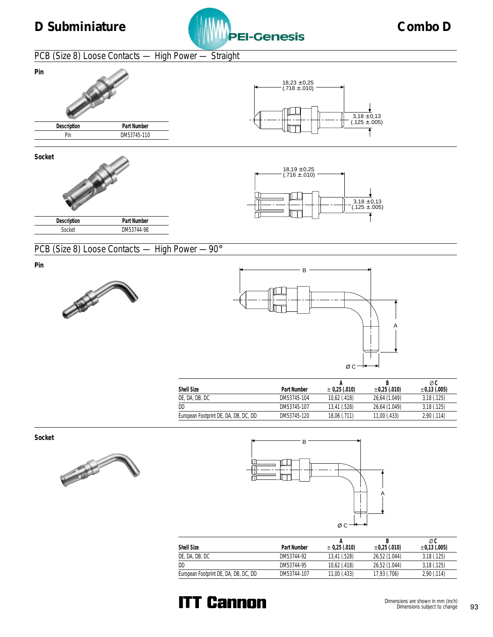

# PCB (Size 8) Loose Contacts — High Power — Straight





# **Socket**





PCB (Size 8) Loose Contacts — High Power —90°

**Pin**





|                                       |             |                   |                   | øς                |
|---------------------------------------|-------------|-------------------|-------------------|-------------------|
| Shell Size                            | Part Number | $\pm$ 0,25 (.010) | $\pm 0.25$ (.010) | $\pm 0.13$ (.005) |
| DE, DA, DB, DC                        | DM53745-104 | $10,62$ (.418)    | 26.64 (1.049)     | 3,18(.125)        |
| DD                                    | DM53745-107 | 13.41 (.528)      | 26.64 (1.049)     | 3,18(.125)        |
| European Footprint DE, DA, DB, DC, DD | DM53745-120 | 18,06 (.711)      | $11,00$ (.433)    | 2,90(.114)        |
|                                       |             |                   |                   |                   |

**Socket**





| Shell Size                            | Part Number | $\pm$ 0,25 (.010) | $\pm 0.25$ (.010) | øc<br>$\pm 0.13$ (.005) |
|---------------------------------------|-------------|-------------------|-------------------|-------------------------|
| de, da, db, dc                        | DM53744-92  | 13,41 (.528)      | 26,52 (1.044)     | 3,18(.125)              |
| DD                                    | DM53744-95  | $10,62$ (.418)    | 26,52 (1.044)     | 3,18(.125)              |
| European Footprint DE, DA, DB, DC, DD | DM53744-107 | 11,00 (.433)      | 17,93 (.706)      | 2,90(.114)              |

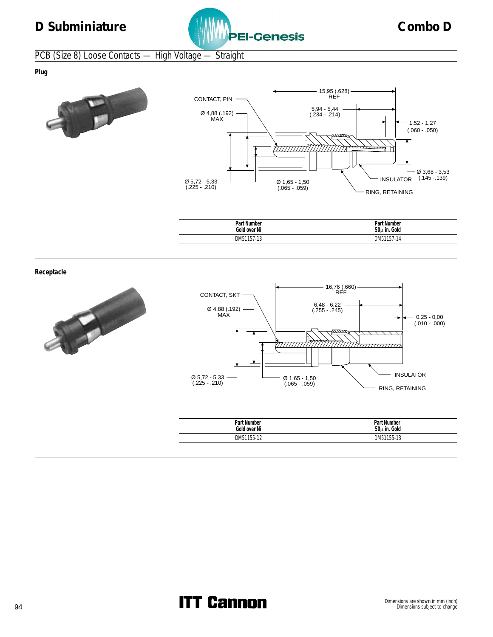

# PCB (Size 8) Loose Contacts — High Voltage — Straight

**Plug**





| Part,        | Part Number |
|--------------|-------------|
| Number       | Gold        |
| Gold over Ni | $50u$ in.   |
| DM51157-13   | DM51157-14  |

**Receptacle**





| Part Number<br>Gold over Ni | Part Number<br>50u in. Gold |
|-----------------------------|-----------------------------|
| DM51155-12                  | DM51155-13                  |
|                             |                             |